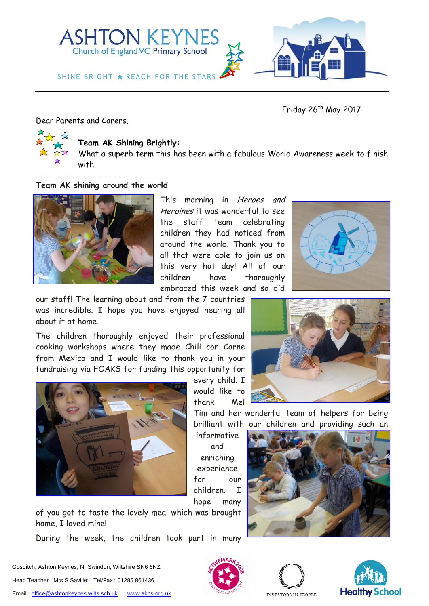

Friday 26<sup>th</sup> May 2017

Dear Parents and Carers,



## **Team AK Shining Brightly:**

What a superb term this has been with a fabulous World Awareness week to finish with!

#### **Team AK shining around the world**



This morning in Heroes and Heroines it was wonderful to see the staff team celebrating children they had noticed from around the world. Thank you to all that were able to join us on this very hot day! All of our children have thoroughly embraced this week and so did



our staff! The learning about and from the 7 countries was incredible. I hope you have enjoyed hearing all about it at home.

The children thoroughly enjoyed their professional cooking workshops where they made Chili con Carne from Mexico and I would like to thank you in your fundraising via FOAKS for funding this opportunity for



every child. I would like to thank Mel

Tim and her wonderful team of helpers for being brilliant with our children and providing such an

informative and enriching experience for our children. I hope many

of you got to taste the lovely meal which was brought home, I loved mine!

During the week, the children took part in many









INVESTORS IN PEOPLE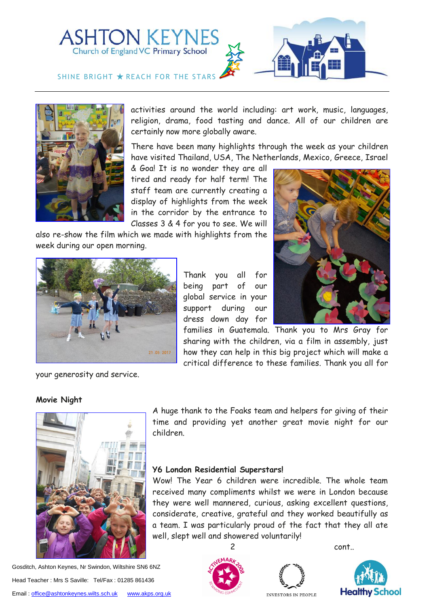



activities around the world including: art work, music, languages, religion, drama, food tasting and dance. All of our children are certainly now more globally aware.

There have been many highlights through the week as your children have visited Thailand, USA, The Netherlands, Mexico, Greece, Israel

& Goa! It is no wonder they are all tired and ready for half term! The staff team are currently creating a display of highlights from the week in the corridor by the entrance to Classes 3 & 4 for you to see. We will

also re-show the film which we made with highlights from the week during our open morning.



Thank you all for being part of our global service in your support during our dress down day for



families in Guatemala. Thank you to Mrs Gray for sharing with the children, via a film in assembly, just how they can help in this big project which will make a critical difference to these families. Thank you all for

your generosity and service.

## **Movie Night**



Gosditch, Ashton Keynes, Nr Swindon, Wiltshire SN6 6NZ Head Teacher : Mrs S Saville: Tel/Fax : 01285 861436 Email[: office@ashtonkeynes.wilts.sch.uk](mailto:office@ashtonkeynes.wilts.sch.uk) [www.akps.org.uk](http://www.akps.org.uk/)

A huge thank to the Foaks team and helpers for giving of their time and providing yet another great movie night for our children.

## **Y6 London Residential Superstars!**

Wow! The Year 6 children were incredible. The whole team received many compliments whilst we were in London because they were well mannered, curious, asking excellent questions, considerate, creative, grateful and they worked beautifully as a team. I was particularly proud of the fact that they all ate well, slept well and showered voluntarily!







INVESTORS IN PEOPLE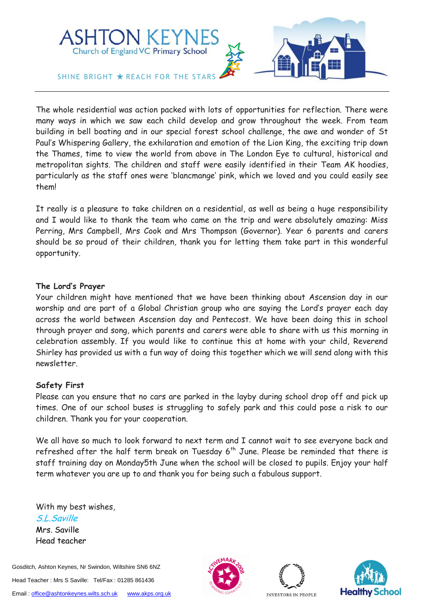

The whole residential was action packed with lots of opportunities for reflection. There were many ways in which we saw each child develop and grow throughout the week. From team building in bell boating and in our special forest school challenge, the awe and wonder of St Paul's Whispering Gallery, the exhilaration and emotion of the Lion King, the exciting trip down the Thames, time to view the world from above in The London Eye to cultural, historical and metropolitan sights. The children and staff were easily identified in their Team AK hoodies, particularly as the staff ones were 'blancmange' pink, which we loved and you could easily see them!

It really is a pleasure to take children on a residential, as well as being a huge responsibility and I would like to thank the team who came on the trip and were absolutely amazing: Miss Perring, Mrs Campbell, Mrs Cook and Mrs Thompson (Governor). Year 6 parents and carers should be so proud of their children, thank you for letting them take part in this wonderful opportunity.

## **The Lord's Prayer**

Your children might have mentioned that we have been thinking about Ascension day in our worship and are part of a Global Christian group who are saying the Lord's prayer each day across the world between Ascension day and Pentecost. We have been doing this in school through prayer and song, which parents and carers were able to share with us this morning in celebration assembly. If you would like to continue this at home with your child, Reverend Shirley has provided us with a fun way of doing this together which we will send along with this newsletter.

## **Safety First**

Please can you ensure that no cars are parked in the layby during school drop off and pick up times. One of our school buses is struggling to safely park and this could pose a risk to our children. Thank you for your cooperation.

We all have so much to look forward to next term and I cannot wait to see everyone back and refreshed after the half term break on Tuesday  $6<sup>th</sup>$  June. Please be reminded that there is staff training day on Monday5th June when the school will be closed to pupils. Enjoy your half term whatever you are up to and thank you for being such a fabulous support.

With my best wishes, S.L.Saville Mrs. Saville Head teacher

Gosditch, Ashton Keynes, Nr Swindon, Wiltshire SN6 6NZ Head Teacher : Mrs S Saville: Tel/Fax : 01285 861436 Email[: office@ashtonkeynes.wilts.sch.uk](mailto:office@ashtonkeynes.wilts.sch.uk) [www.akps.org.uk](http://www.akps.org.uk/)